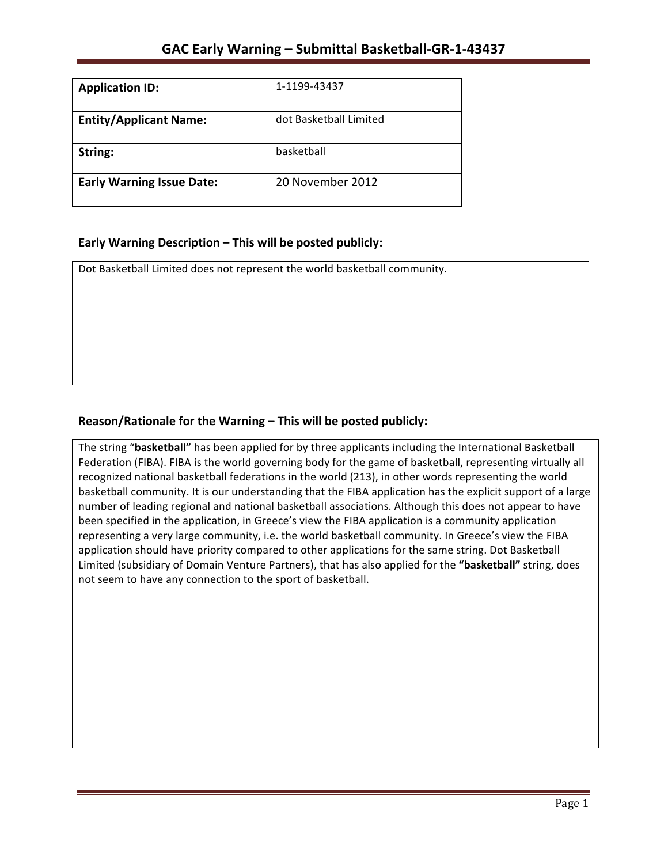| <b>Application ID:</b>           | 1-1199-43437           |
|----------------------------------|------------------------|
| <b>Entity/Applicant Name:</b>    | dot Basketball Limited |
| String:                          | basketball             |
| <b>Early Warning Issue Date:</b> | 20 November 2012       |

## **Early Warning Description – This will be posted publicly:**

Dot Basketball Limited does not represent the world basketball community.

## Reason/Rationale for the Warning – This will be posted publicly:

The string "basketball" has been applied for by three applicants including the International Basketball Federation (FIBA). FIBA is the world governing body for the game of basketball, representing virtually all recognized national basketball federations in the world (213), in other words representing the world basketball community. It is our understanding that the FIBA application has the explicit support of a large number of leading regional and national basketball associations. Although this does not appear to have been specified in the application, in Greece's view the FIBA application is a community application representing a very large community, i.e. the world basketball community. In Greece's view the FIBA application should have priority compared to other applications for the same string. Dot Basketball Limited (subsidiary of Domain Venture Partners), that has also applied for the "basketball" string, does not seem to have any connection to the sport of basketball.